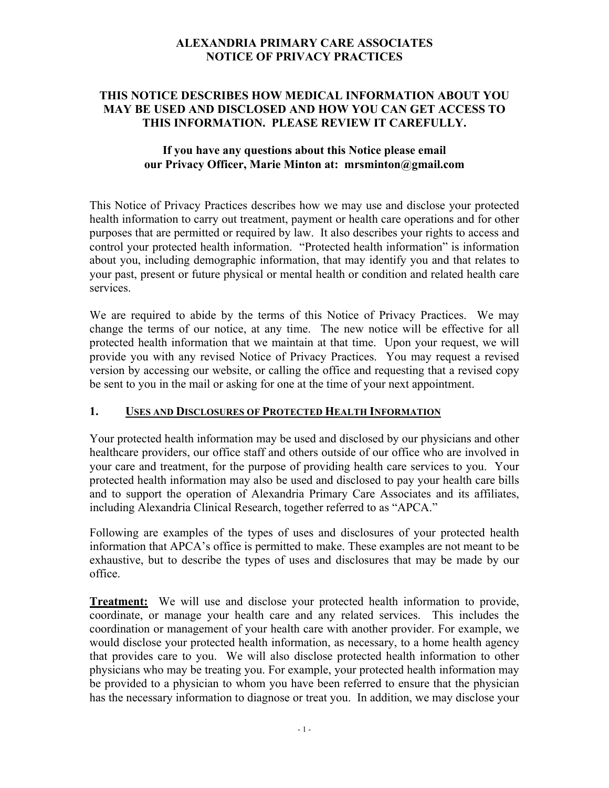# **THIS NOTICE DESCRIBES HOW MEDICAL INFORMATION ABOUT YOU MAY BE USED AND DISCLOSED AND HOW YOU CAN GET ACCESS TO THIS INFORMATION. PLEASE REVIEW IT CAREFULLY.**

# **If you have any questions about this Notice please email our Privacy Officer, Marie Minton at: mrsminton@gmail.com**

This Notice of Privacy Practices describes how we may use and disclose your protected health information to carry out treatment, payment or health care operations and for other purposes that are permitted or required by law. It also describes your rights to access and control your protected health information. "Protected health information" is information about you, including demographic information, that may identify you and that relates to your past, present or future physical or mental health or condition and related health care services.

We are required to abide by the terms of this Notice of Privacy Practices. We may change the terms of our notice, at any time. The new notice will be effective for all protected health information that we maintain at that time. Upon your request, we will provide you with any revised Notice of Privacy Practices. You may request a revised version by accessing our website, or calling the office and requesting that a revised copy be sent to you in the mail or asking for one at the time of your next appointment.

# **1. USES AND DISCLOSURES OF PROTECTED HEALTH INFORMATION**

Your protected health information may be used and disclosed by our physicians and other healthcare providers, our office staff and others outside of our office who are involved in your care and treatment, for the purpose of providing health care services to you. Your protected health information may also be used and disclosed to pay your health care bills and to support the operation of Alexandria Primary Care Associates and its affiliates, including Alexandria Clinical Research, together referred to as "APCA."

Following are examples of the types of uses and disclosures of your protected health information that APCA's office is permitted to make. These examples are not meant to be exhaustive, but to describe the types of uses and disclosures that may be made by our office.

**Treatment:** We will use and disclose your protected health information to provide, coordinate, or manage your health care and any related services. This includes the coordination or management of your health care with another provider. For example, we would disclose your protected health information, as necessary, to a home health agency that provides care to you. We will also disclose protected health information to other physicians who may be treating you. For example, your protected health information may be provided to a physician to whom you have been referred to ensure that the physician has the necessary information to diagnose or treat you. In addition, we may disclose your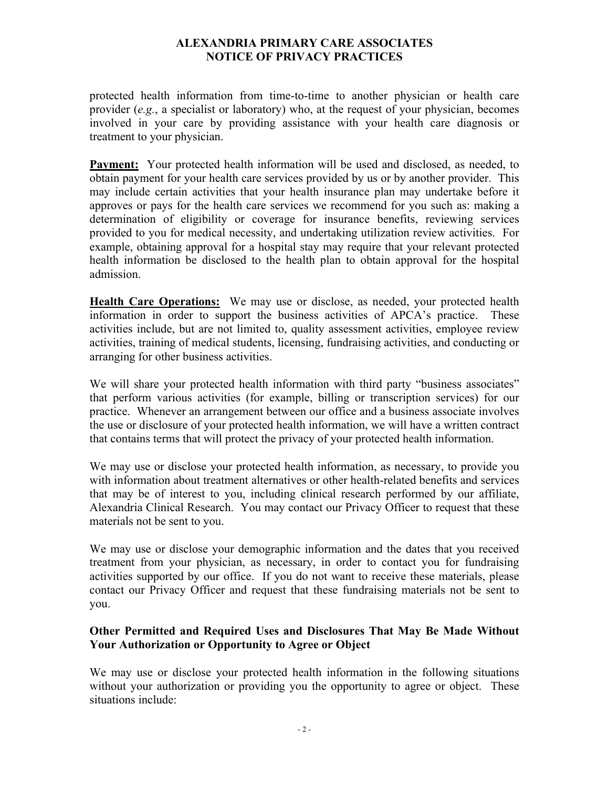protected health information from time-to-time to another physician or health care provider (*e.g.*, a specialist or laboratory) who, at the request of your physician, becomes involved in your care by providing assistance with your health care diagnosis or treatment to your physician.

Payment: Your protected health information will be used and disclosed, as needed, to obtain payment for your health care services provided by us or by another provider. This may include certain activities that your health insurance plan may undertake before it approves or pays for the health care services we recommend for you such as: making a determination of eligibility or coverage for insurance benefits, reviewing services provided to you for medical necessity, and undertaking utilization review activities. For example, obtaining approval for a hospital stay may require that your relevant protected health information be disclosed to the health plan to obtain approval for the hospital admission.

**Health Care Operations:** We may use or disclose, as needed, your protected health information in order to support the business activities of APCA's practice. These activities include, but are not limited to, quality assessment activities, employee review activities, training of medical students, licensing, fundraising activities, and conducting or arranging for other business activities.

We will share your protected health information with third party "business associates" that perform various activities (for example, billing or transcription services) for our practice. Whenever an arrangement between our office and a business associate involves the use or disclosure of your protected health information, we will have a written contract that contains terms that will protect the privacy of your protected health information.

We may use or disclose your protected health information, as necessary, to provide you with information about treatment alternatives or other health-related benefits and services that may be of interest to you, including clinical research performed by our affiliate, Alexandria Clinical Research. You may contact our Privacy Officer to request that these materials not be sent to you.

We may use or disclose your demographic information and the dates that you received treatment from your physician, as necessary, in order to contact you for fundraising activities supported by our office. If you do not want to receive these materials, please contact our Privacy Officer and request that these fundraising materials not be sent to you.

# **Other Permitted and Required Uses and Disclosures That May Be Made Without Your Authorization or Opportunity to Agree or Object**

We may use or disclose your protected health information in the following situations without your authorization or providing you the opportunity to agree or object. These situations include: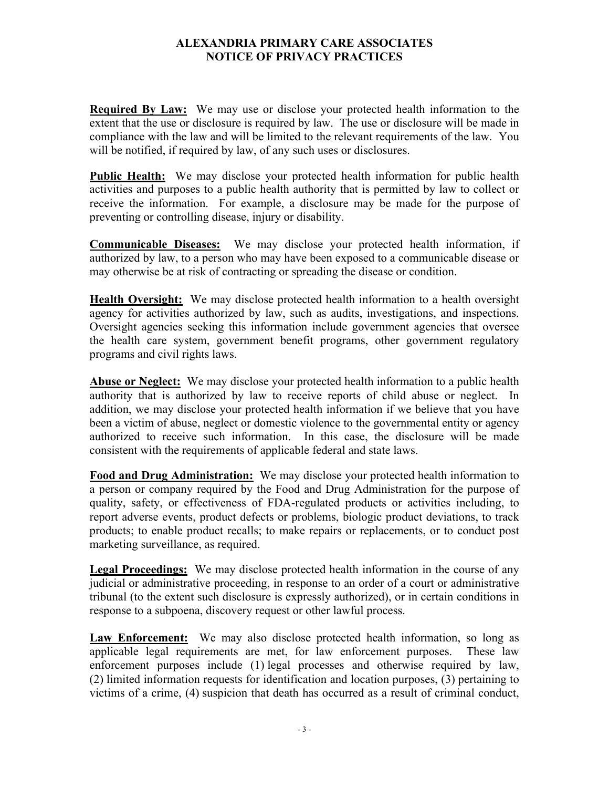**Required By Law:** We may use or disclose your protected health information to the extent that the use or disclosure is required by law. The use or disclosure will be made in compliance with the law and will be limited to the relevant requirements of the law. You will be notified, if required by law, of any such uses or disclosures.

**Public Health:** We may disclose your protected health information for public health activities and purposes to a public health authority that is permitted by law to collect or receive the information. For example, a disclosure may be made for the purpose of preventing or controlling disease, injury or disability.

**Communicable Diseases:** We may disclose your protected health information, if authorized by law, to a person who may have been exposed to a communicable disease or may otherwise be at risk of contracting or spreading the disease or condition.

**Health Oversight:** We may disclose protected health information to a health oversight agency for activities authorized by law, such as audits, investigations, and inspections. Oversight agencies seeking this information include government agencies that oversee the health care system, government benefit programs, other government regulatory programs and civil rights laws.

**Abuse or Neglect:** We may disclose your protected health information to a public health authority that is authorized by law to receive reports of child abuse or neglect. In addition, we may disclose your protected health information if we believe that you have been a victim of abuse, neglect or domestic violence to the governmental entity or agency authorized to receive such information. In this case, the disclosure will be made consistent with the requirements of applicable federal and state laws.

**Food and Drug Administration:** We may disclose your protected health information to a person or company required by the Food and Drug Administration for the purpose of quality, safety, or effectiveness of FDA-regulated products or activities including, to report adverse events, product defects or problems, biologic product deviations, to track products; to enable product recalls; to make repairs or replacements, or to conduct post marketing surveillance, as required.

**Legal Proceedings:** We may disclose protected health information in the course of any judicial or administrative proceeding, in response to an order of a court or administrative tribunal (to the extent such disclosure is expressly authorized), or in certain conditions in response to a subpoena, discovery request or other lawful process.

**Law Enforcement:** We may also disclose protected health information, so long as applicable legal requirements are met, for law enforcement purposes. These law enforcement purposes include (1) legal processes and otherwise required by law, (2) limited information requests for identification and location purposes, (3) pertaining to victims of a crime, (4) suspicion that death has occurred as a result of criminal conduct,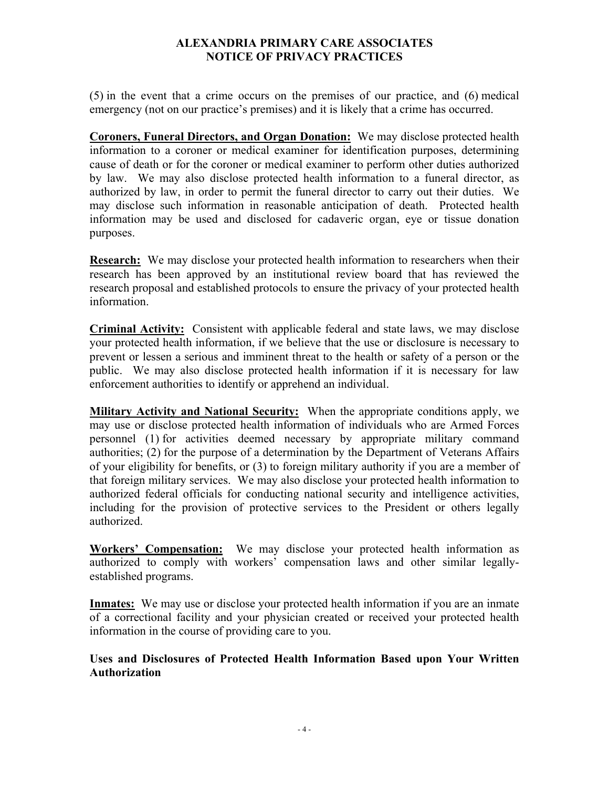(5) in the event that a crime occurs on the premises of our practice, and (6) medical emergency (not on our practice's premises) and it is likely that a crime has occurred.

**Coroners, Funeral Directors, and Organ Donation:** We may disclose protected health information to a coroner or medical examiner for identification purposes, determining cause of death or for the coroner or medical examiner to perform other duties authorized by law. We may also disclose protected health information to a funeral director, as authorized by law, in order to permit the funeral director to carry out their duties. We may disclose such information in reasonable anticipation of death. Protected health information may be used and disclosed for cadaveric organ, eye or tissue donation purposes.

**Research:** We may disclose your protected health information to researchers when their research has been approved by an institutional review board that has reviewed the research proposal and established protocols to ensure the privacy of your protected health information.

**Criminal Activity:** Consistent with applicable federal and state laws, we may disclose your protected health information, if we believe that the use or disclosure is necessary to prevent or lessen a serious and imminent threat to the health or safety of a person or the public. We may also disclose protected health information if it is necessary for law enforcement authorities to identify or apprehend an individual.

**Military Activity and National Security:** When the appropriate conditions apply, we may use or disclose protected health information of individuals who are Armed Forces personnel (1) for activities deemed necessary by appropriate military command authorities; (2) for the purpose of a determination by the Department of Veterans Affairs of your eligibility for benefits, or (3) to foreign military authority if you are a member of that foreign military services. We may also disclose your protected health information to authorized federal officials for conducting national security and intelligence activities, including for the provision of protective services to the President or others legally authorized.

**Workers' Compensation:** We may disclose your protected health information as authorized to comply with workers' compensation laws and other similar legallyestablished programs.

**Inmates:** We may use or disclose your protected health information if you are an inmate of a correctional facility and your physician created or received your protected health information in the course of providing care to you.

### **Uses and Disclosures of Protected Health Information Based upon Your Written Authorization**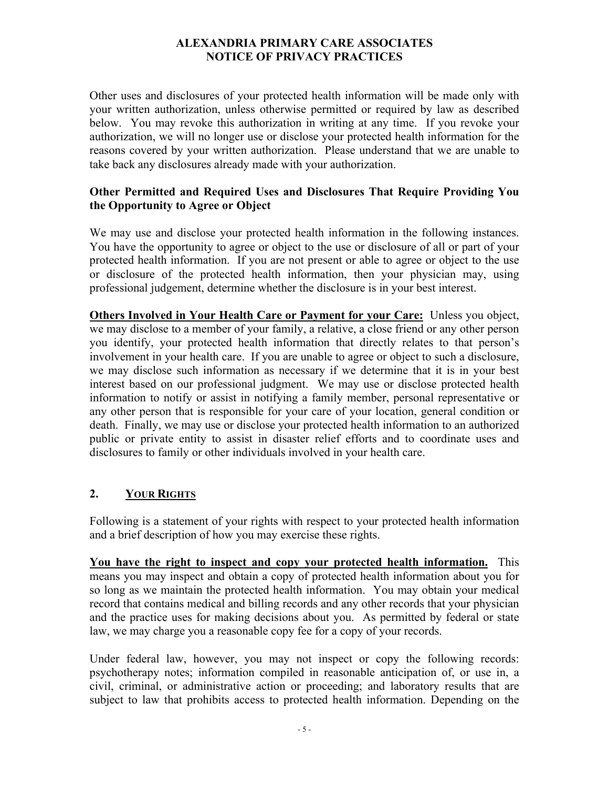Other uses and disclosures of your protected health information will be made only with your written authorization, unless otherwise permitted or required by law as described below. You may revoke this authorization in writing at any time. If you revoke your authorization, we will no longer use or disclose your protected health information for the reasons covered by your written authorization. Please understand that we are unable to take back any disclosures already made with your authorization.

# **Other Permitted and Required Uses and Disclosures That Require Providing You the Opportunity to Agree or Object**

We may use and disclose your protected health information in the following instances. You have the opportunity to agree or object to the use or disclosure of all or part of your protected health information. If you are not present or able to agree or object to the use or disclosure of the protected health information, then your physician may, using professional judgement, determine whether the disclosure is in your best interest.

**Others Involved in Your Health Care or Payment for your Care:** Unless you object, we may disclose to a member of your family, a relative, a close friend or any other person you identify, your protected health information that directly relates to that person's involvement in your health care. If you are unable to agree or object to such a disclosure, we may disclose such information as necessary if we determine that it is in your best interest based on our professional judgment. We may use or disclose protected health information to notify or assist in notifying a family member, personal representative or any other person that is responsible for your care of your location, general condition or death. Finally, we may use or disclose your protected health information to an authorized public or private entity to assist in disaster relief efforts and to coordinate uses and disclosures to family or other individuals involved in your health care.

# **2. YOUR RIGHTS**

Following is a statement of your rights with respect to your protected health information and a brief description of how you may exercise these rights.

**You have the right to inspect and copy your protected health information.** This means you may inspect and obtain a copy of protected health information about you for so long as we maintain the protected health information. You may obtain your medical record that contains medical and billing records and any other records that your physician and the practice uses for making decisions about you. As permitted by federal or state law, we may charge you a reasonable copy fee for a copy of your records.

Under federal law, however, you may not inspect or copy the following records: psychotherapy notes; information compiled in reasonable anticipation of, or use in, a civil, criminal, or administrative action or proceeding; and laboratory results that are subject to law that prohibits access to protected health information. Depending on the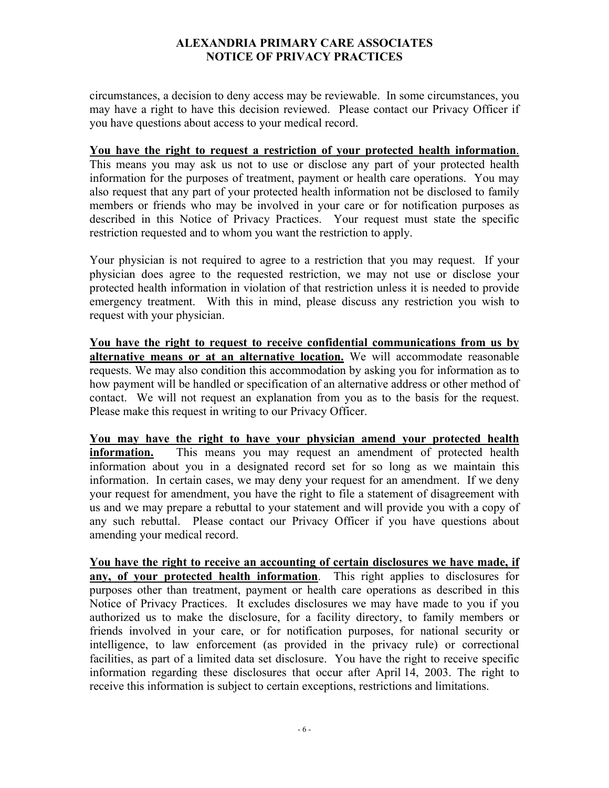circumstances, a decision to deny access may be reviewable. In some circumstances, you may have a right to have this decision reviewed. Please contact our Privacy Officer if you have questions about access to your medical record.

#### **You have the right to request a restriction of your protected health information**.

This means you may ask us not to use or disclose any part of your protected health information for the purposes of treatment, payment or health care operations. You may also request that any part of your protected health information not be disclosed to family members or friends who may be involved in your care or for notification purposes as described in this Notice of Privacy Practices. Your request must state the specific restriction requested and to whom you want the restriction to apply.

Your physician is not required to agree to a restriction that you may request. If your physician does agree to the requested restriction, we may not use or disclose your protected health information in violation of that restriction unless it is needed to provide emergency treatment. With this in mind, please discuss any restriction you wish to request with your physician.

**You have the right to request to receive confidential communications from us by alternative means or at an alternative location.** We will accommodate reasonable requests. We may also condition this accommodation by asking you for information as to how payment will be handled or specification of an alternative address or other method of contact. We will not request an explanation from you as to the basis for the request. Please make this request in writing to our Privacy Officer.

**You may have the right to have your physician amend your protected health information.** This means you may request an amendment of protected health information about you in a designated record set for so long as we maintain this information. In certain cases, we may deny your request for an amendment. If we deny your request for amendment, you have the right to file a statement of disagreement with us and we may prepare a rebuttal to your statement and will provide you with a copy of any such rebuttal. Please contact our Privacy Officer if you have questions about amending your medical record.

**You have the right to receive an accounting of certain disclosures we have made, if any, of your protected health information**. This right applies to disclosures for purposes other than treatment, payment or health care operations as described in this Notice of Privacy Practices. It excludes disclosures we may have made to you if you authorized us to make the disclosure, for a facility directory, to family members or friends involved in your care, or for notification purposes, for national security or intelligence, to law enforcement (as provided in the privacy rule) or correctional facilities, as part of a limited data set disclosure. You have the right to receive specific information regarding these disclosures that occur after April 14, 2003. The right to receive this information is subject to certain exceptions, restrictions and limitations.